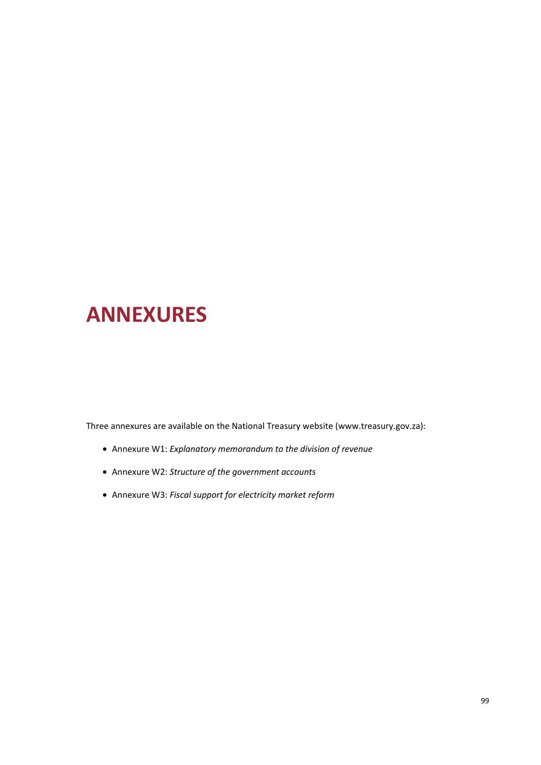# **ANNEXURES**

Three annexures are available on the National Treasury website (www.treasury.gov.za):

- Annexure W1: *Explanatory memorandum to the division of revenue*
- Annexure W2: *Structure of the government accounts*
- Annexure W3: *Fiscal support for electricity market reform*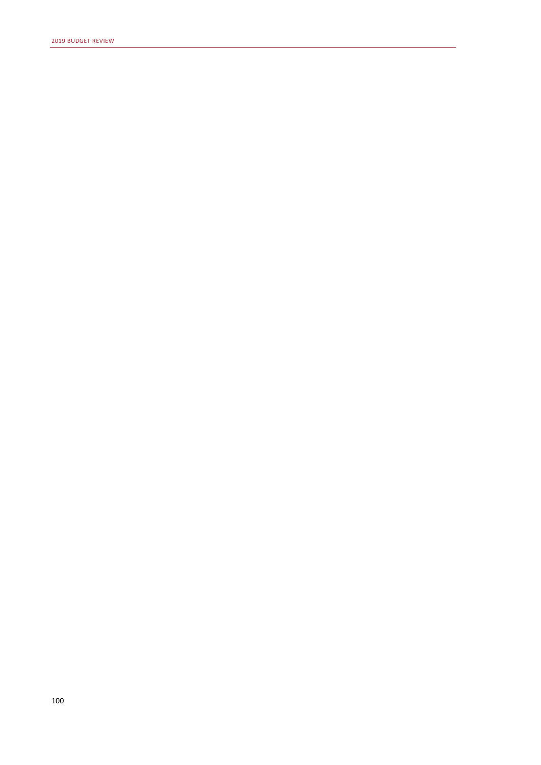2019 BUDGET REVIEW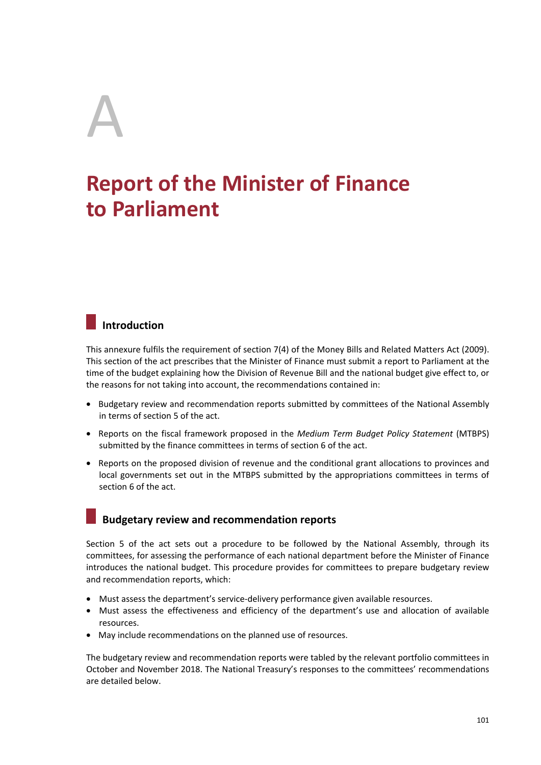# A

# **Report of the Minister of Finance to Parliament**

# **Introduction**

This annexure fulfils the requirement of section 7(4) of the Money Bills and Related Matters Act (2009). This section of the act prescribes that the Minister of Finance must submit a report to Parliament at the time of the budget explaining how the Division of Revenue Bill and the national budget give effect to, or the reasons for not taking into account, the recommendations contained in:

- Budgetary review and recommendation reports submitted by committees of the National Assembly in terms of section 5 of the act.
- Reports on the fiscal framework proposed in the *Medium Term Budget Policy Statement* (MTBPS) submitted by the finance committees in terms of section 6 of the act.
- Reports on the proposed division of revenue and the conditional grant allocations to provinces and local governments set out in the MTBPS submitted by the appropriations committees in terms of section 6 of the act.

# **Budgetary review and recommendation reports**

Section 5 of the act sets out a procedure to be followed by the National Assembly, through its committees, for assessing the performance of each national department before the Minister of Finance introduces the national budget. This procedure provides for committees to prepare budgetary review and recommendation reports, which:

- Must assess the department's service-delivery performance given available resources.
- Must assess the effectiveness and efficiency of the department's use and allocation of available resources.
- May include recommendations on the planned use of resources.

The budgetary review and recommendation reports were tabled by the relevant portfolio committees in October and November 2018. The National Treasury's responses to the committees' recommendations are detailed below.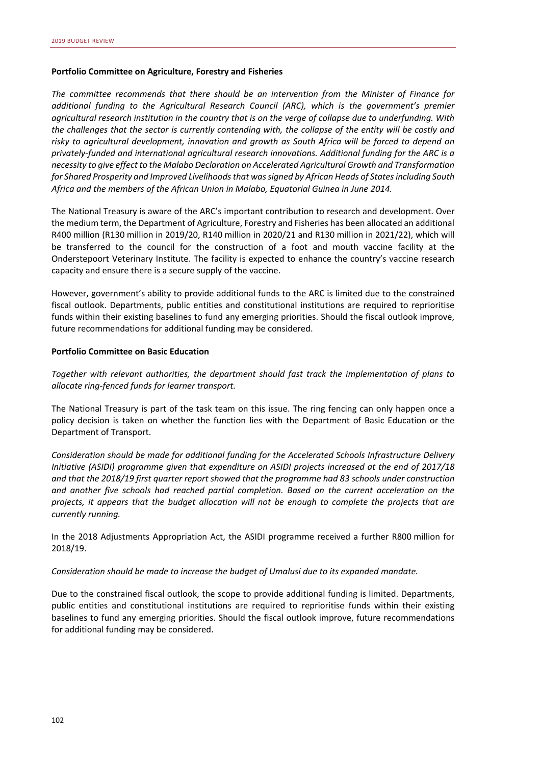#### **Portfolio Committee on Agriculture, Forestry and Fisheries**

*The committee recommends that there should be an intervention from the Minister of Finance for additional funding to the Agricultural Research Council (ARC), which is the government's premier agricultural research institution in the country that is on the verge of collapse due to underfunding. With the challenges that the sector is currently contending with, the collapse of the entity will be costly and risky to agricultural development, innovation and growth as South Africa will be forced to depend on privately-funded and international agricultural research innovations. Additional funding for the ARC is a necessity to give effect to the Malabo Declaration on Accelerated Agricultural Growth and Transformation for Shared Prosperity and Improved Livelihoods that was signed by African Heads of States including South Africa and the members of the African Union in Malabo, Equatorial Guinea in June 2014.* 

The National Treasury is aware of the ARC's important contribution to research and development. Over the medium term, the Department of Agriculture, Forestry and Fisheries has been allocated an additional R400 million (R130 million in 2019/20, R140 million in 2020/21 and R130 million in 2021/22), which will be transferred to the council for the construction of a foot and mouth vaccine facility at the Onderstepoort Veterinary Institute. The facility is expected to enhance the country's vaccine research capacity and ensure there is a secure supply of the vaccine.

However, government's ability to provide additional funds to the ARC is limited due to the constrained fiscal outlook. Departments, public entities and constitutional institutions are required to reprioritise funds within their existing baselines to fund any emerging priorities. Should the fiscal outlook improve, future recommendations for additional funding may be considered.

#### **Portfolio Committee on Basic Education**

*Together with relevant authorities, the department should fast track the implementation of plans to allocate ring-fenced funds for learner transport.* 

The National Treasury is part of the task team on this issue. The ring fencing can only happen once a policy decision is taken on whether the function lies with the Department of Basic Education or the Department of Transport.

*Consideration should be made for additional funding for the Accelerated Schools Infrastructure Delivery Initiative (ASIDI) programme given that expenditure on ASIDI projects increased at the end of 2017/18 and that the 2018/19 first quarter report showed that the programme had 83 schools under construction and another five schools had reached partial completion. Based on the current acceleration on the projects, it appears that the budget allocation will not be enough to complete the projects that are currently running.* 

In the 2018 Adjustments Appropriation Act, the ASIDI programme received a further R800 million for 2018/19.

#### *Consideration should be made to increase the budget of Umalusi due to its expanded mandate.*

Due to the constrained fiscal outlook, the scope to provide additional funding is limited. Departments, public entities and constitutional institutions are required to reprioritise funds within their existing baselines to fund any emerging priorities. Should the fiscal outlook improve, future recommendations for additional funding may be considered.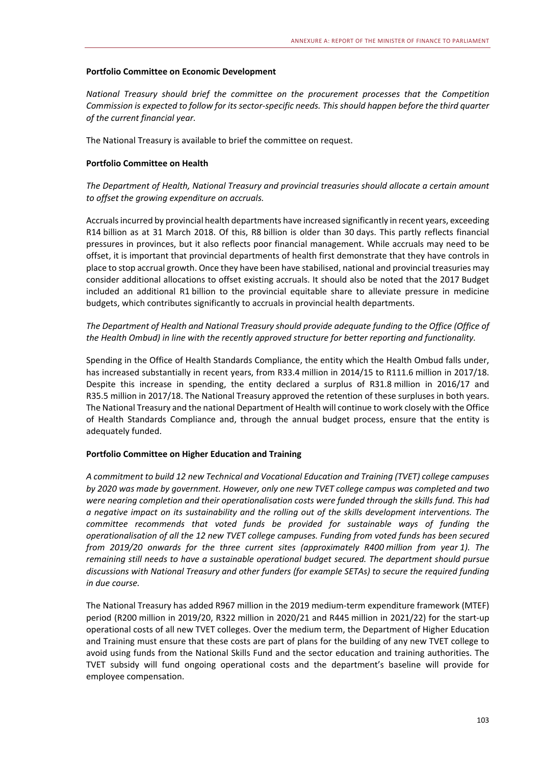#### **Portfolio Committee on Economic Development**

*National Treasury should brief the committee on the procurement processes that the Competition Commission is expected to follow for its sector-specific needs. This should happen before the third quarter of the current financial year.* 

The National Treasury is available to brief the committee on request.

#### **Portfolio Committee on Health**

*The Department of Health, National Treasury and provincial treasuries should allocate a certain amount to offset the growing expenditure on accruals.* 

Accruals incurred by provincial health departments have increased significantly in recent years, exceeding R14 billion as at 31 March 2018. Of this, R8 billion is older than 30 days. This partly reflects financial pressures in provinces, but it also reflects poor financial management. While accruals may need to be offset, it is important that provincial departments of health first demonstrate that they have controls in place to stop accrual growth. Once they have been have stabilised, national and provincial treasuries may consider additional allocations to offset existing accruals. It should also be noted that the 2017 Budget included an additional R1 billion to the provincial equitable share to alleviate pressure in medicine budgets, which contributes significantly to accruals in provincial health departments.

*The Department of Health and National Treasury should provide adequate funding to the Office (Office of the Health Ombud) in line with the recently approved structure for better reporting and functionality.* 

Spending in the Office of Health Standards Compliance, the entity which the Health Ombud falls under, has increased substantially in recent years, from R33.4 million in 2014/15 to R111.6 million in 2017/18. Despite this increase in spending, the entity declared a surplus of R31.8 million in 2016/17 and R35.5 million in 2017/18. The National Treasury approved the retention of these surpluses in both years. The National Treasury and the national Department of Health will continue to work closely with the Office of Health Standards Compliance and, through the annual budget process, ensure that the entity is adequately funded.

#### **Portfolio Committee on Higher Education and Training**

*A commitment to build 12 new Technical and Vocational Education and Training (TVET) college campuses by 2020 was made by government. However, only one new TVET college campus was completed and two were nearing completion and their operationalisation costs were funded through the skills fund. This had a negative impact on its sustainability and the rolling out of the skills development interventions. The committee recommends that voted funds be provided for sustainable ways of funding the operationalisation of all the 12 new TVET college campuses. Funding from voted funds has been secured from 2019/20 onwards for the three current sites (approximately R400 million from year 1). The remaining still needs to have a sustainable operational budget secured. The department should pursue discussions with National Treasury and other funders (for example SETAs) to secure the required funding in due course.* 

The National Treasury has added R967 million in the 2019 medium-term expenditure framework (MTEF) period (R200 million in 2019/20, R322 million in 2020/21 and R445 million in 2021/22) for the start-up operational costs of all new TVET colleges. Over the medium term, the Department of Higher Education and Training must ensure that these costs are part of plans for the building of any new TVET college to avoid using funds from the National Skills Fund and the sector education and training authorities. The TVET subsidy will fund ongoing operational costs and the department's baseline will provide for employee compensation.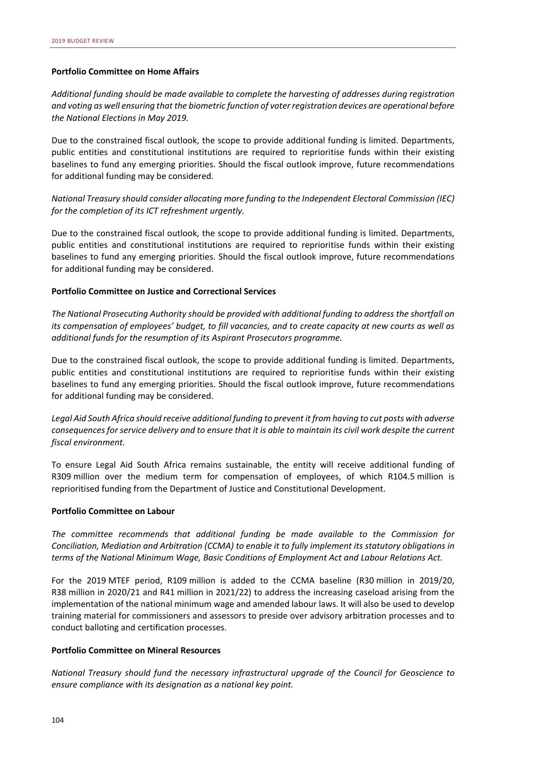#### **Portfolio Committee on Home Affairs**

*Additional funding should be made available to complete the harvesting of addresses during registration and voting as well ensuring that the biometric function of voter registration devices are operational before the National Elections in May 2019.* 

Due to the constrained fiscal outlook, the scope to provide additional funding is limited. Departments, public entities and constitutional institutions are required to reprioritise funds within their existing baselines to fund any emerging priorities. Should the fiscal outlook improve, future recommendations for additional funding may be considered.

*National Treasury should consider allocating more funding to the Independent Electoral Commission (IEC) for the completion of its ICT refreshment urgently.* 

Due to the constrained fiscal outlook, the scope to provide additional funding is limited. Departments, public entities and constitutional institutions are required to reprioritise funds within their existing baselines to fund any emerging priorities. Should the fiscal outlook improve, future recommendations for additional funding may be considered.

#### **Portfolio Committee on Justice and Correctional Services**

*The National Prosecuting Authority should be provided with additional funding to address the shortfall on its compensation of employees' budget, to fill vacancies, and to create capacity at new courts as well as additional funds for the resumption of its Aspirant Prosecutors programme.* 

Due to the constrained fiscal outlook, the scope to provide additional funding is limited. Departments, public entities and constitutional institutions are required to reprioritise funds within their existing baselines to fund any emerging priorities. Should the fiscal outlook improve, future recommendations for additional funding may be considered.

*Legal Aid South Africa should receive additional funding to prevent it from having to cut posts with adverse consequences for service delivery and to ensure that it is able to maintain its civil work despite the current fiscal environment.* 

To ensure Legal Aid South Africa remains sustainable, the entity will receive additional funding of R309 million over the medium term for compensation of employees, of which R104.5 million is reprioritised funding from the Department of Justice and Constitutional Development.

#### **Portfolio Committee on Labour**

*The committee recommends that additional funding be made available to the Commission for Conciliation, Mediation and Arbitration (CCMA) to enable it to fully implement its statutory obligations in terms of the National Minimum Wage, Basic Conditions of Employment Act and Labour Relations Act.* 

For the 2019 MTEF period, R109 million is added to the CCMA baseline (R30 million in 2019/20, R38 million in 2020/21 and R41 million in 2021/22) to address the increasing caseload arising from the implementation of the national minimum wage and amended labour laws. It will also be used to develop training material for commissioners and assessors to preside over advisory arbitration processes and to conduct balloting and certification processes.

#### **Portfolio Committee on Mineral Resources**

*National Treasury should fund the necessary infrastructural upgrade of the Council for Geoscience to ensure compliance with its designation as a national key point.*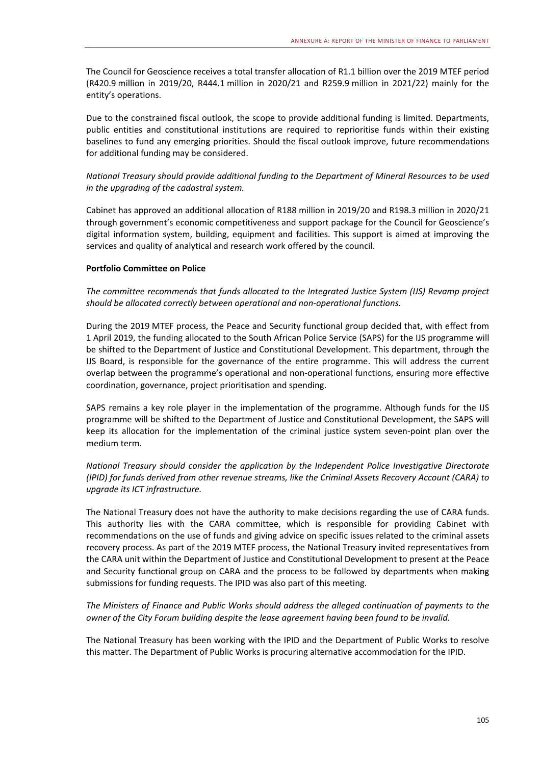The Council for Geoscience receives a total transfer allocation of R1.1 billion over the 2019 MTEF period (R420.9 million in 2019/20, R444.1 million in 2020/21 and R259.9 million in 2021/22) mainly for the entity's operations.

Due to the constrained fiscal outlook, the scope to provide additional funding is limited. Departments, public entities and constitutional institutions are required to reprioritise funds within their existing baselines to fund any emerging priorities. Should the fiscal outlook improve, future recommendations for additional funding may be considered.

*National Treasury should provide additional funding to the Department of Mineral Resources to be used in the upgrading of the cadastral system.* 

Cabinet has approved an additional allocation of R188 million in 2019/20 and R198.3 million in 2020/21 through government's economic competitiveness and support package for the Council for Geoscience's digital information system, building, equipment and facilities. This support is aimed at improving the services and quality of analytical and research work offered by the council.

#### **Portfolio Committee on Police**

*The committee recommends that funds allocated to the Integrated Justice System (IJS) Revamp project should be allocated correctly between operational and non-operational functions.* 

During the 2019 MTEF process, the Peace and Security functional group decided that, with effect from 1 April 2019, the funding allocated to the South African Police Service (SAPS) for the IJS programme will be shifted to the Department of Justice and Constitutional Development. This department, through the IJS Board, is responsible for the governance of the entire programme. This will address the current overlap between the programme's operational and non-operational functions, ensuring more effective coordination, governance, project prioritisation and spending.

SAPS remains a key role player in the implementation of the programme. Although funds for the IJS programme will be shifted to the Department of Justice and Constitutional Development, the SAPS will keep its allocation for the implementation of the criminal justice system seven-point plan over the medium term.

*National Treasury should consider the application by the Independent Police Investigative Directorate (IPID) for funds derived from other revenue streams, like the Criminal Assets Recovery Account (CARA) to upgrade its ICT infrastructure.* 

The National Treasury does not have the authority to make decisions regarding the use of CARA funds. This authority lies with the CARA committee, which is responsible for providing Cabinet with recommendations on the use of funds and giving advice on specific issues related to the criminal assets recovery process. As part of the 2019 MTEF process, the National Treasury invited representatives from the CARA unit within the Department of Justice and Constitutional Development to present at the Peace and Security functional group on CARA and the process to be followed by departments when making submissions for funding requests. The IPID was also part of this meeting.

*The Ministers of Finance and Public Works should address the alleged continuation of payments to the owner of the City Forum building despite the lease agreement having been found to be invalid.* 

The National Treasury has been working with the IPID and the Department of Public Works to resolve this matter. The Department of Public Works is procuring alternative accommodation for the IPID.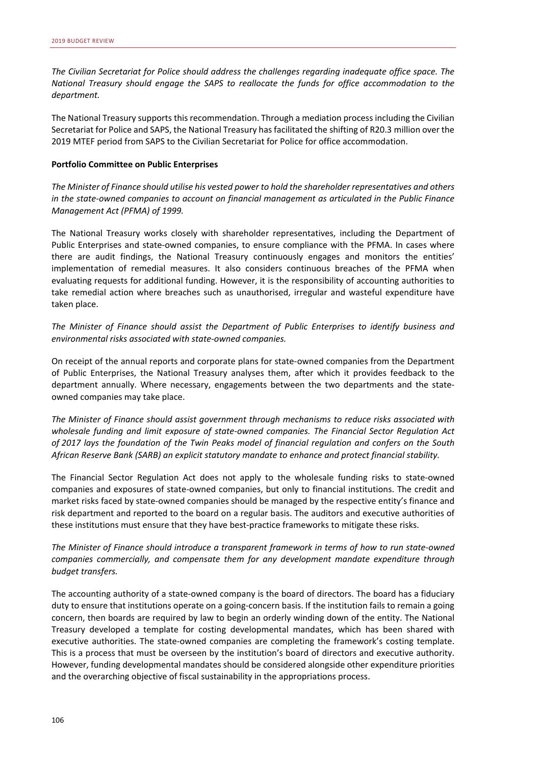*The Civilian Secretariat for Police should address the challenges regarding inadequate office space. The National Treasury should engage the SAPS to reallocate the funds for office accommodation to the department.* 

The National Treasury supports this recommendation. Through a mediation process including the Civilian Secretariat for Police and SAPS, the National Treasury has facilitated the shifting of R20.3 million over the 2019 MTEF period from SAPS to the Civilian Secretariat for Police for office accommodation.

#### **Portfolio Committee on Public Enterprises**

*The Minister of Finance should utilise his vested power to hold the shareholder representatives and others in the state-owned companies to account on financial management as articulated in the Public Finance Management Act (PFMA) of 1999.* 

The National Treasury works closely with shareholder representatives, including the Department of Public Enterprises and state-owned companies, to ensure compliance with the PFMA. In cases where there are audit findings, the National Treasury continuously engages and monitors the entities' implementation of remedial measures. It also considers continuous breaches of the PFMA when evaluating requests for additional funding. However, it is the responsibility of accounting authorities to take remedial action where breaches such as unauthorised, irregular and wasteful expenditure have taken place.

*The Minister of Finance should assist the Department of Public Enterprises to identify business and environmental risks associated with state-owned companies.* 

On receipt of the annual reports and corporate plans for state-owned companies from the Department of Public Enterprises, the National Treasury analyses them, after which it provides feedback to the department annually. Where necessary, engagements between the two departments and the stateowned companies may take place.

*The Minister of Finance should assist government through mechanisms to reduce risks associated with wholesale funding and limit exposure of state-owned companies. The Financial Sector Regulation Act of 2017 lays the foundation of the Twin Peaks model of financial regulation and confers on the South African Reserve Bank (SARB) an explicit statutory mandate to enhance and protect financial stability.* 

The Financial Sector Regulation Act does not apply to the wholesale funding risks to state-owned companies and exposures of state-owned companies, but only to financial institutions. The credit and market risks faced by state-owned companies should be managed by the respective entity's finance and risk department and reported to the board on a regular basis. The auditors and executive authorities of these institutions must ensure that they have best-practice frameworks to mitigate these risks.

*The Minister of Finance should introduce a transparent framework in terms of how to run state-owned companies commercially, and compensate them for any development mandate expenditure through budget transfers.* 

The accounting authority of a state-owned company is the board of directors. The board has a fiduciary duty to ensure that institutions operate on a going-concern basis. If the institution fails to remain a going concern, then boards are required by law to begin an orderly winding down of the entity. The National Treasury developed a template for costing developmental mandates, which has been shared with executive authorities. The state-owned companies are completing the framework's costing template. This is a process that must be overseen by the institution's board of directors and executive authority. However, funding developmental mandates should be considered alongside other expenditure priorities and the overarching objective of fiscal sustainability in the appropriations process.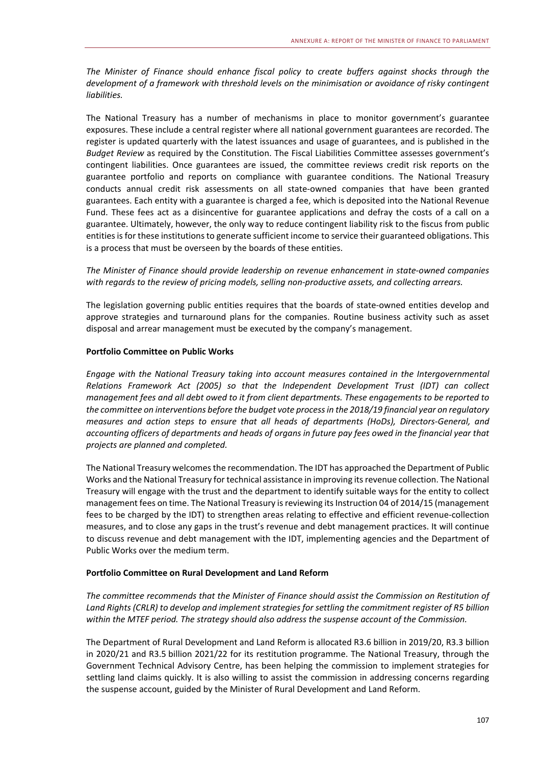*The Minister of Finance should enhance fiscal policy to create buffers against shocks through the development of a framework with threshold levels on the minimisation or avoidance of risky contingent liabilities.* 

The National Treasury has a number of mechanisms in place to monitor government's guarantee exposures. These include a central register where all national government guarantees are recorded. The register is updated quarterly with the latest issuances and usage of guarantees, and is published in the *Budget Review* as required by the Constitution. The Fiscal Liabilities Committee assesses government's contingent liabilities. Once guarantees are issued, the committee reviews credit risk reports on the guarantee portfolio and reports on compliance with guarantee conditions. The National Treasury conducts annual credit risk assessments on all state-owned companies that have been granted guarantees. Each entity with a guarantee is charged a fee, which is deposited into the National Revenue Fund. These fees act as a disincentive for guarantee applications and defray the costs of a call on a guarantee. Ultimately, however, the only way to reduce contingent liability risk to the fiscus from public entities is for these institutions to generate sufficient income to service their guaranteed obligations. This is a process that must be overseen by the boards of these entities.

*The Minister of Finance should provide leadership on revenue enhancement in state-owned companies with regards to the review of pricing models, selling non-productive assets, and collecting arrears.* 

The legislation governing public entities requires that the boards of state-owned entities develop and approve strategies and turnaround plans for the companies. Routine business activity such as asset disposal and arrear management must be executed by the company's management.

#### **Portfolio Committee on Public Works**

*Engage with the National Treasury taking into account measures contained in the Intergovernmental Relations Framework Act (2005) so that the Independent Development Trust (IDT) can collect management fees and all debt owed to it from client departments. These engagements to be reported to the committee on interventions before the budget vote process in the 2018/19 financial year on regulatory measures and action steps to ensure that all heads of departments (HoDs), Directors-General, and accounting officers of departments and heads of organs in future pay fees owed in the financial year that projects are planned and completed.* 

The National Treasury welcomes the recommendation. The IDT has approached the Department of Public Works and the National Treasury for technical assistance in improving its revenue collection. The National Treasury will engage with the trust and the department to identify suitable ways for the entity to collect management fees on time. The National Treasury is reviewing its Instruction 04 of 2014/15 (management fees to be charged by the IDT) to strengthen areas relating to effective and efficient revenue-collection measures, and to close any gaps in the trust's revenue and debt management practices. It will continue to discuss revenue and debt management with the IDT, implementing agencies and the Department of Public Works over the medium term.

#### **Portfolio Committee on Rural Development and Land Reform**

*The committee recommends that the Minister of Finance should assist the Commission on Restitution of Land Rights (CRLR) to develop and implement strategies for settling the commitment register of R5 billion within the MTEF period. The strategy should also address the suspense account of the Commission.* 

The Department of Rural Development and Land Reform is allocated R3.6 billion in 2019/20, R3.3 billion in 2020/21 and R3.5 billion 2021/22 for its restitution programme. The National Treasury, through the Government Technical Advisory Centre, has been helping the commission to implement strategies for settling land claims quickly. It is also willing to assist the commission in addressing concerns regarding the suspense account, guided by the Minister of Rural Development and Land Reform.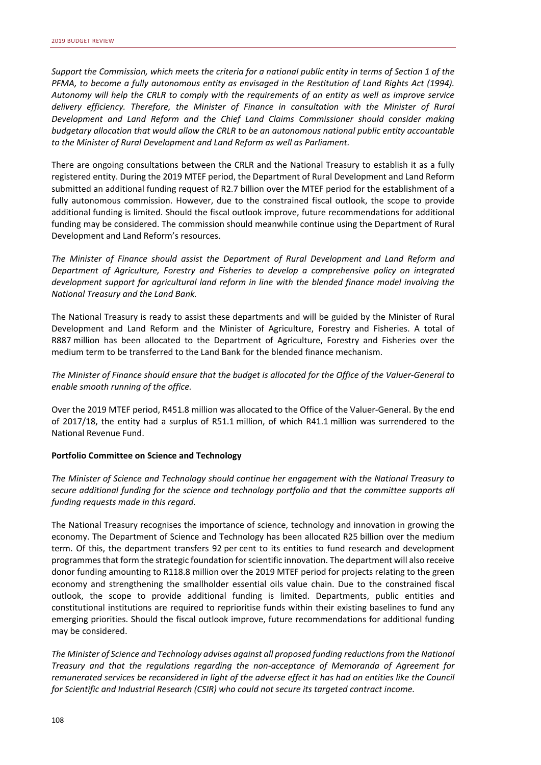*Support the Commission, which meets the criteria for a national public entity in terms of Section 1 of the PFMA, to become a fully autonomous entity as envisaged in the Restitution of Land Rights Act (1994). Autonomy will help the CRLR to comply with the requirements of an entity as well as improve service delivery efficiency. Therefore, the Minister of Finance in consultation with the Minister of Rural Development and Land Reform and the Chief Land Claims Commissioner should consider making budgetary allocation that would allow the CRLR to be an autonomous national public entity accountable to the Minister of Rural Development and Land Reform as well as Parliament.* 

There are ongoing consultations between the CRLR and the National Treasury to establish it as a fully registered entity. During the 2019 MTEF period, the Department of Rural Development and Land Reform submitted an additional funding request of R2.7 billion over the MTEF period for the establishment of a fully autonomous commission. However, due to the constrained fiscal outlook, the scope to provide additional funding is limited. Should the fiscal outlook improve, future recommendations for additional funding may be considered. The commission should meanwhile continue using the Department of Rural Development and Land Reform's resources.

*The Minister of Finance should assist the Department of Rural Development and Land Reform and Department of Agriculture, Forestry and Fisheries to develop a comprehensive policy on integrated development support for agricultural land reform in line with the blended finance model involving the National Treasury and the Land Bank.* 

The National Treasury is ready to assist these departments and will be guided by the Minister of Rural Development and Land Reform and the Minister of Agriculture, Forestry and Fisheries. A total of R887 million has been allocated to the Department of Agriculture, Forestry and Fisheries over the medium term to be transferred to the Land Bank for the blended finance mechanism.

*The Minister of Finance should ensure that the budget is allocated for the Office of the Valuer-General to enable smooth running of the office.* 

Over the 2019 MTEF period, R451.8 million was allocated to the Office of the Valuer-General. By the end of 2017/18, the entity had a surplus of R51.1 million, of which R41.1 million was surrendered to the National Revenue Fund.

#### **Portfolio Committee on Science and Technology**

*The Minister of Science and Technology should continue her engagement with the National Treasury to secure additional funding for the science and technology portfolio and that the committee supports all funding requests made in this regard.* 

The National Treasury recognises the importance of science, technology and innovation in growing the economy. The Department of Science and Technology has been allocated R25 billion over the medium term. Of this, the department transfers 92 per cent to its entities to fund research and development programmes that form the strategic foundation for scientific innovation. The department will also receive donor funding amounting to R118.8 million over the 2019 MTEF period for projects relating to the green economy and strengthening the smallholder essential oils value chain. Due to the constrained fiscal outlook, the scope to provide additional funding is limited. Departments, public entities and constitutional institutions are required to reprioritise funds within their existing baselines to fund any emerging priorities. Should the fiscal outlook improve, future recommendations for additional funding may be considered.

*The Minister of Science and Technology advises against all proposed funding reductions from the National Treasury and that the regulations regarding the non-acceptance of Memoranda of Agreement for remunerated services be reconsidered in light of the adverse effect it has had on entities like the Council for Scientific and Industrial Research (CSIR) who could not secure its targeted contract income.*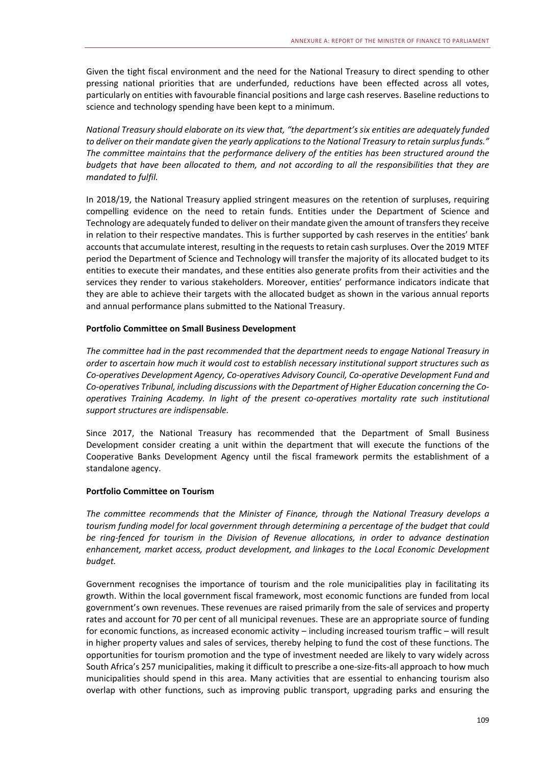Given the tight fiscal environment and the need for the National Treasury to direct spending to other pressing national priorities that are underfunded, reductions have been effected across all votes, particularly on entities with favourable financial positions and large cash reserves. Baseline reductions to science and technology spending have been kept to a minimum.

*National Treasury should elaborate on its view that, "the department's six entities are adequately funded to deliver on their mandate given the yearly applications to the National Treasury to retain surplus funds." The committee maintains that the performance delivery of the entities has been structured around the budgets that have been allocated to them, and not according to all the responsibilities that they are mandated to fulfil.* 

In 2018/19, the National Treasury applied stringent measures on the retention of surpluses, requiring compelling evidence on the need to retain funds. Entities under the Department of Science and Technology are adequately funded to deliver on their mandate given the amount of transfers they receive in relation to their respective mandates. This is further supported by cash reserves in the entities' bank accounts that accumulate interest, resulting in the requests to retain cash surpluses. Over the 2019 MTEF period the Department of Science and Technology will transfer the majority of its allocated budget to its entities to execute their mandates, and these entities also generate profits from their activities and the services they render to various stakeholders. Moreover, entities' performance indicators indicate that they are able to achieve their targets with the allocated budget as shown in the various annual reports and annual performance plans submitted to the National Treasury.

#### **Portfolio Committee on Small Business Development**

*The committee had in the past recommended that the department needs to engage National Treasury in order to ascertain how much it would cost to establish necessary institutional support structures such as Co-operatives Development Agency, Co-operatives Advisory Council, Co-operative Development Fund and Co-operatives Tribunal, including discussions with the Department of Higher Education concerning the Cooperatives Training Academy. In light of the present co-operatives mortality rate such institutional support structures are indispensable.* 

Since 2017, the National Treasury has recommended that the Department of Small Business Development consider creating a unit within the department that will execute the functions of the Cooperative Banks Development Agency until the fiscal framework permits the establishment of a standalone agency.

#### **Portfolio Committee on Tourism**

*The committee recommends that the Minister of Finance, through the National Treasury develops a tourism funding model for local government through determining a percentage of the budget that could be ring-fenced for tourism in the Division of Revenue allocations, in order to advance destination enhancement, market access, product development, and linkages to the Local Economic Development budget.* 

Government recognises the importance of tourism and the role municipalities play in facilitating its growth. Within the local government fiscal framework, most economic functions are funded from local government's own revenues. These revenues are raised primarily from the sale of services and property rates and account for 70 per cent of all municipal revenues. These are an appropriate source of funding for economic functions, as increased economic activity – including increased tourism traffic – will result in higher property values and sales of services, thereby helping to fund the cost of these functions. The opportunities for tourism promotion and the type of investment needed are likely to vary widely across South Africa's 257 municipalities, making it difficult to prescribe a one-size-fits-all approach to how much municipalities should spend in this area. Many activities that are essential to enhancing tourism also overlap with other functions, such as improving public transport, upgrading parks and ensuring the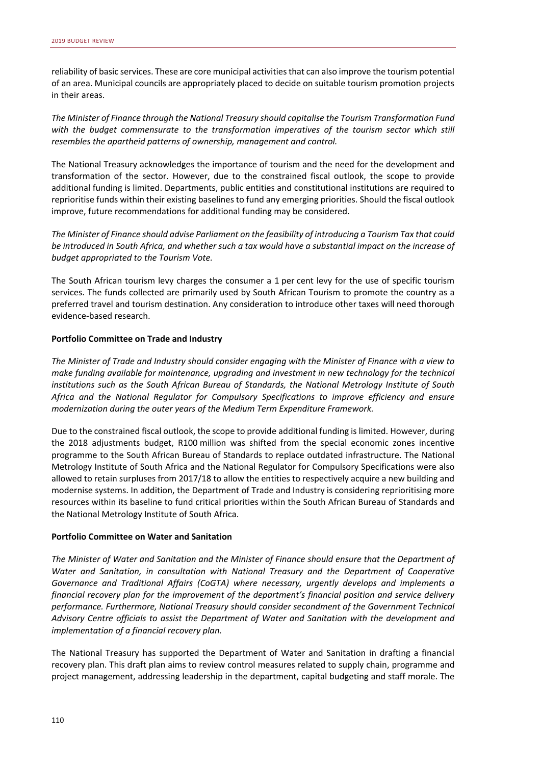reliability of basic services. These are core municipal activities that can also improve the tourism potential of an area. Municipal councils are appropriately placed to decide on suitable tourism promotion projects in their areas.

*The Minister of Finance through the National Treasury should capitalise the Tourism Transformation Fund*  with the budget commensurate to the transformation imperatives of the tourism sector which still *resembles the apartheid patterns of ownership, management and control.* 

The National Treasury acknowledges the importance of tourism and the need for the development and transformation of the sector. However, due to the constrained fiscal outlook, the scope to provide additional funding is limited. Departments, public entities and constitutional institutions are required to reprioritise funds within their existing baselines to fund any emerging priorities. Should the fiscal outlook improve, future recommendations for additional funding may be considered.

*The Minister of Finance should advise Parliament on the feasibility of introducing a Tourism Tax that could be introduced in South Africa, and whether such a tax would have a substantial impact on the increase of budget appropriated to the Tourism Vote.* 

The South African tourism levy charges the consumer a 1 per cent levy for the use of specific tourism services. The funds collected are primarily used by South African Tourism to promote the country as a preferred travel and tourism destination. Any consideration to introduce other taxes will need thorough evidence-based research.

#### **Portfolio Committee on Trade and Industry**

*The Minister of Trade and Industry should consider engaging with the Minister of Finance with a view to make funding available for maintenance, upgrading and investment in new technology for the technical institutions such as the South African Bureau of Standards, the National Metrology Institute of South Africa and the National Regulator for Compulsory Specifications to improve efficiency and ensure modernization during the outer years of the Medium Term Expenditure Framework.* 

Due to the constrained fiscal outlook, the scope to provide additional funding is limited. However, during the 2018 adjustments budget, R100 million was shifted from the special economic zones incentive programme to the South African Bureau of Standards to replace outdated infrastructure. The National Metrology Institute of South Africa and the National Regulator for Compulsory Specifications were also allowed to retain surpluses from 2017/18 to allow the entities to respectively acquire a new building and modernise systems. In addition, the Department of Trade and Industry is considering reprioritising more resources within its baseline to fund critical priorities within the South African Bureau of Standards and the National Metrology Institute of South Africa.

#### **Portfolio Committee on Water and Sanitation**

*The Minister of Water and Sanitation and the Minister of Finance should ensure that the Department of Water and Sanitation, in consultation with National Treasury and the Department of Cooperative Governance and Traditional Affairs (CoGTA) where necessary, urgently develops and implements a financial recovery plan for the improvement of the department's financial position and service delivery performance. Furthermore, National Treasury should consider secondment of the Government Technical Advisory Centre officials to assist the Department of Water and Sanitation with the development and implementation of a financial recovery plan.* 

The National Treasury has supported the Department of Water and Sanitation in drafting a financial recovery plan. This draft plan aims to review control measures related to supply chain, programme and project management, addressing leadership in the department, capital budgeting and staff morale. The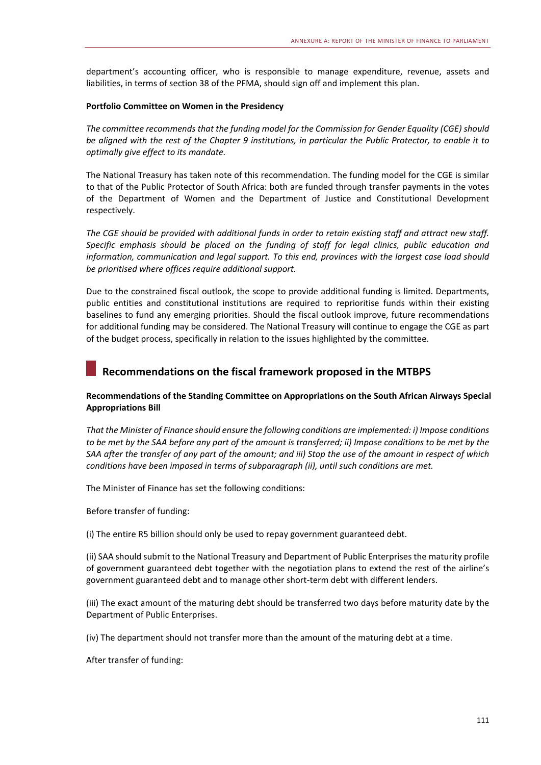department's accounting officer, who is responsible to manage expenditure, revenue, assets and liabilities, in terms of section 38 of the PFMA, should sign off and implement this plan.

#### **Portfolio Committee on Women in the Presidency**

*The committee recommends that the funding model for the Commission for Gender Equality (CGE) should be aligned with the rest of the Chapter 9 institutions, in particular the Public Protector, to enable it to optimally give effect to its mandate.* 

The National Treasury has taken note of this recommendation. The funding model for the CGE is similar to that of the Public Protector of South Africa: both are funded through transfer payments in the votes of the Department of Women and the Department of Justice and Constitutional Development respectively.

*The CGE should be provided with additional funds in order to retain existing staff and attract new staff. Specific emphasis should be placed on the funding of staff for legal clinics, public education and information, communication and legal support. To this end, provinces with the largest case load should be prioritised where offices require additional support.* 

Due to the constrained fiscal outlook, the scope to provide additional funding is limited. Departments, public entities and constitutional institutions are required to reprioritise funds within their existing baselines to fund any emerging priorities. Should the fiscal outlook improve, future recommendations for additional funding may be considered. The National Treasury will continue to engage the CGE as part of the budget process, specifically in relation to the issues highlighted by the committee.

### **Recommendations on the fiscal framework proposed in the MTBPS**

#### **Recommendations of the Standing Committee on Appropriations on the South African Airways Special Appropriations Bill**

*That the Minister of Finance should ensure the following conditions are implemented: i) Impose conditions to be met by the SAA before any part of the amount is transferred; ii) Impose conditions to be met by the SAA after the transfer of any part of the amount; and iii) Stop the use of the amount in respect of which conditions have been imposed in terms of subparagraph (ii), until such conditions are met.* 

The Minister of Finance has set the following conditions:

Before transfer of funding:

(i) The entire R5 billion should only be used to repay government guaranteed debt.

(ii) SAA should submit to the National Treasury and Department of Public Enterprises the maturity profile of government guaranteed debt together with the negotiation plans to extend the rest of the airline's government guaranteed debt and to manage other short-term debt with different lenders.

(iii) The exact amount of the maturing debt should be transferred two days before maturity date by the Department of Public Enterprises.

(iv) The department should not transfer more than the amount of the maturing debt at a time.

After transfer of funding: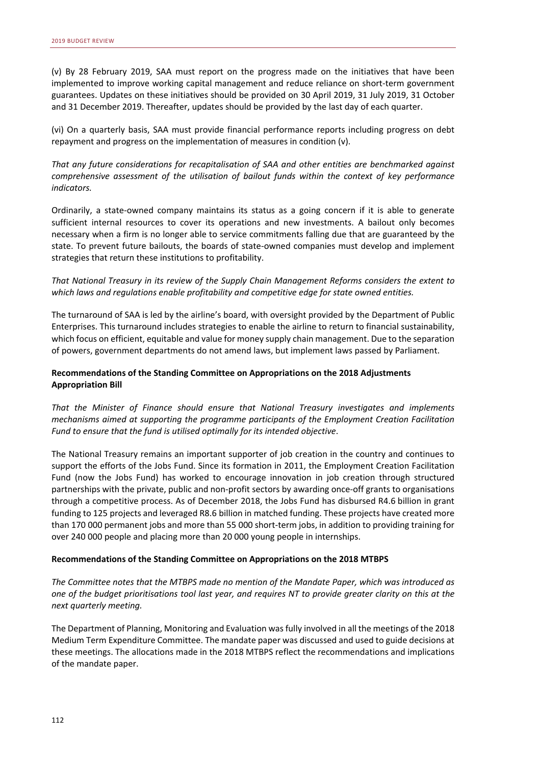(v) By 28 February 2019, SAA must report on the progress made on the initiatives that have been implemented to improve working capital management and reduce reliance on short-term government guarantees. Updates on these initiatives should be provided on 30 April 2019, 31 July 2019, 31 October and 31 December 2019. Thereafter, updates should be provided by the last day of each quarter.

(vi) On a quarterly basis, SAA must provide financial performance reports including progress on debt repayment and progress on the implementation of measures in condition (v).

*That any future considerations for recapitalisation of SAA and other entities are benchmarked against comprehensive assessment of the utilisation of bailout funds within the context of key performance indicators.* 

Ordinarily, a state-owned company maintains its status as a going concern if it is able to generate sufficient internal resources to cover its operations and new investments. A bailout only becomes necessary when a firm is no longer able to service commitments falling due that are guaranteed by the state. To prevent future bailouts, the boards of state-owned companies must develop and implement strategies that return these institutions to profitability.

*That National Treasury in its review of the Supply Chain Management Reforms considers the extent to which laws and regulations enable profitability and competitive edge for state owned entities.* 

The turnaround of SAA is led by the airline's board, with oversight provided by the Department of Public Enterprises. This turnaround includes strategies to enable the airline to return to financial sustainability, which focus on efficient, equitable and value for money supply chain management. Due to the separation of powers, government departments do not amend laws, but implement laws passed by Parliament.

#### **Recommendations of the Standing Committee on Appropriations on the 2018 Adjustments Appropriation Bill**

*That the Minister of Finance should ensure that National Treasury investigates and implements mechanisms aimed at supporting the programme participants of the Employment Creation Facilitation Fund to ensure that the fund is utilised optimally for its intended objective*.

The National Treasury remains an important supporter of job creation in the country and continues to support the efforts of the Jobs Fund. Since its formation in 2011, the Employment Creation Facilitation Fund (now the Jobs Fund) has worked to encourage innovation in job creation through structured partnerships with the private, public and non-profit sectors by awarding once-off grants to organisations through a competitive process. As of December 2018, the Jobs Fund has disbursed R4.6 billion in grant funding to 125 projects and leveraged R8.6 billion in matched funding. These projects have created more than 170 000 permanent jobs and more than 55 000 short-term jobs, in addition to providing training for over 240 000 people and placing more than 20 000 young people in internships.

#### **Recommendations of the Standing Committee on Appropriations on the 2018 MTBPS**

*The Committee notes that the MTBPS made no mention of the Mandate Paper, which was introduced as one of the budget prioritisations tool last year, and requires NT to provide greater clarity on this at the next quarterly meeting.* 

The Department of Planning, Monitoring and Evaluation was fully involved in all the meetings of the 2018 Medium Term Expenditure Committee. The mandate paper was discussed and used to guide decisions at these meetings. The allocations made in the 2018 MTBPS reflect the recommendations and implications of the mandate paper.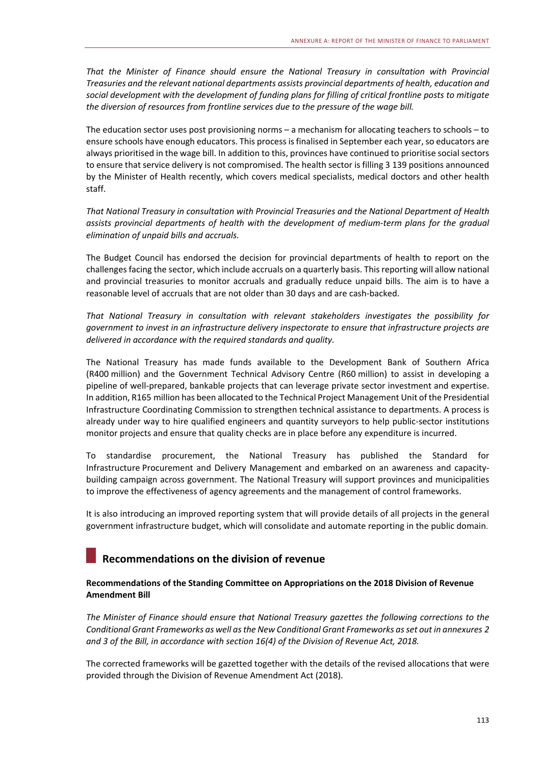*That the Minister of Finance should ensure the National Treasury in consultation with Provincial Treasuries and the relevant national departments assists provincial departments of health, education and social development with the development of funding plans for filling of critical frontline posts to mitigate the diversion of resources from frontline services due to the pressure of the wage bill.* 

The education sector uses post provisioning norms – a mechanism for allocating teachers to schools – to ensure schools have enough educators. This process is finalised in September each year, so educators are always prioritised in the wage bill. In addition to this, provinces have continued to prioritise social sectors to ensure that service delivery is not compromised. The health sector is filling 3 139 positions announced by the Minister of Health recently, which covers medical specialists, medical doctors and other health staff.

*That National Treasury in consultation with Provincial Treasuries and the National Department of Health assists provincial departments of health with the development of medium-term plans for the gradual elimination of unpaid bills and accruals.* 

The Budget Council has endorsed the decision for provincial departments of health to report on the challenges facing the sector, which include accruals on a quarterly basis. This reporting will allow national and provincial treasuries to monitor accruals and gradually reduce unpaid bills. The aim is to have a reasonable level of accruals that are not older than 30 days and are cash-backed.

*That National Treasury in consultation with relevant stakeholders investigates the possibility for government to invest in an infrastructure delivery inspectorate to ensure that infrastructure projects are delivered in accordance with the required standards and quality.*

The National Treasury has made funds available to the Development Bank of Southern Africa (R400 million) and the Government Technical Advisory Centre (R60 million) to assist in developing a pipeline of well-prepared, bankable projects that can leverage private sector investment and expertise. In addition, R165 million has been allocated to the Technical Project Management Unit of the Presidential Infrastructure Coordinating Commission to strengthen technical assistance to departments. A process is already under way to hire qualified engineers and quantity surveyors to help public-sector institutions monitor projects and ensure that quality checks are in place before any expenditure is incurred.

To standardise procurement, the National Treasury has published the Standard for Infrastructure Procurement and Delivery Management and embarked on an awareness and capacitybuilding campaign across government. The National Treasury will support provinces and municipalities to improve the effectiveness of agency agreements and the management of control frameworks.

It is also introducing an improved reporting system that will provide details of all projects in the general government infrastructure budget, which will consolidate and automate reporting in the public domain.

## **Recommendations on the division of revenue**

#### **Recommendations of the Standing Committee on Appropriations on the 2018 Division of Revenue Amendment Bill**

*The Minister of Finance should ensure that National Treasury gazettes the following corrections to the Conditional Grant Frameworks as well as the New Conditional Grant Frameworks as set out in annexures 2 and 3 of the Bill, in accordance with section 16(4) of the Division of Revenue Act, 2018.* 

The corrected frameworks will be gazetted together with the details of the revised allocations that were provided through the Division of Revenue Amendment Act (2018).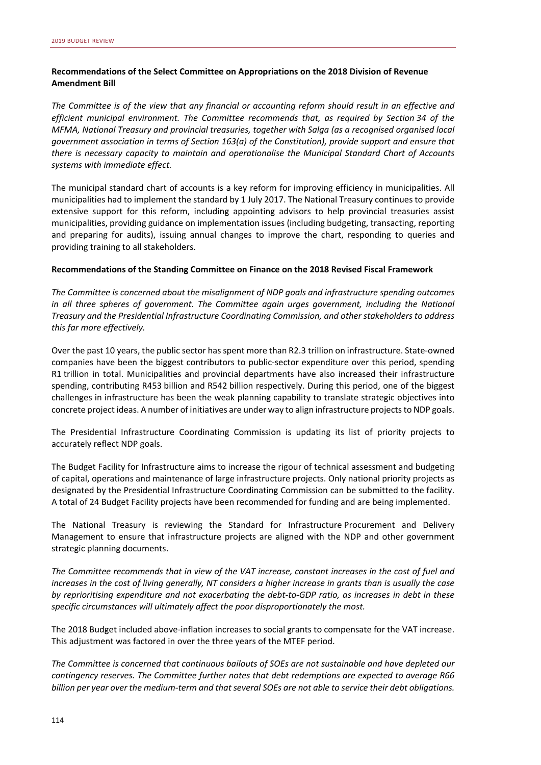#### **Recommendations of the Select Committee on Appropriations on the 2018 Division of Revenue Amendment Bill**

*The Committee is of the view that any financial or accounting reform should result in an effective and efficient municipal environment. The Committee recommends that, as required by Section 34 of the MFMA, National Treasury and provincial treasuries, together with Salga (as a recognised organised local government association in terms of Section 163(a) of the Constitution), provide support and ensure that there is necessary capacity to maintain and operationalise the Municipal Standard Chart of Accounts systems with immediate effect.* 

The municipal standard chart of accounts is a key reform for improving efficiency in municipalities. All municipalities had to implement the standard by 1 July 2017. The National Treasury continues to provide extensive support for this reform, including appointing advisors to help provincial treasuries assist municipalities, providing guidance on implementation issues (including budgeting, transacting, reporting and preparing for audits), issuing annual changes to improve the chart, responding to queries and providing training to all stakeholders.

#### **Recommendations of the Standing Committee on Finance on the 2018 Revised Fiscal Framework**

*The Committee is concerned about the misalignment of NDP goals and infrastructure spending outcomes*  in all three spheres of government. The Committee again urges government, including the National *Treasury and the Presidential Infrastructure Coordinating Commission, and other stakeholders to address this far more effectively.* 

Over the past 10 years, the public sector has spent more than R2.3 trillion on infrastructure. State-owned companies have been the biggest contributors to public-sector expenditure over this period, spending R1 trillion in total. Municipalities and provincial departments have also increased their infrastructure spending, contributing R453 billion and R542 billion respectively. During this period, one of the biggest challenges in infrastructure has been the weak planning capability to translate strategic objectives into concrete project ideas. A number of initiatives are under way to align infrastructure projects to NDP goals.

The Presidential Infrastructure Coordinating Commission is updating its list of priority projects to accurately reflect NDP goals.

The Budget Facility for Infrastructure aims to increase the rigour of technical assessment and budgeting of capital, operations and maintenance of large infrastructure projects. Only national priority projects as designated by the Presidential Infrastructure Coordinating Commission can be submitted to the facility. A total of 24 Budget Facility projects have been recommended for funding and are being implemented.

The National Treasury is reviewing the Standard for Infrastructure Procurement and Delivery Management to ensure that infrastructure projects are aligned with the NDP and other government strategic planning documents.

*The Committee recommends that in view of the VAT increase, constant increases in the cost of fuel and increases in the cost of living generally, NT considers a higher increase in grants than is usually the case by reprioritising expenditure and not exacerbating the debt-to-GDP ratio, as increases in debt in these specific circumstances will ultimately affect the poor disproportionately the most.* 

The 2018 Budget included above-inflation increases to social grants to compensate for the VAT increase. This adjustment was factored in over the three years of the MTEF period.

*The Committee is concerned that continuous bailouts of SOEs are not sustainable and have depleted our contingency reserves. The Committee further notes that debt redemptions are expected to average R66 billion per year over the medium-term and that several SOEs are not able to service their debt obligations.*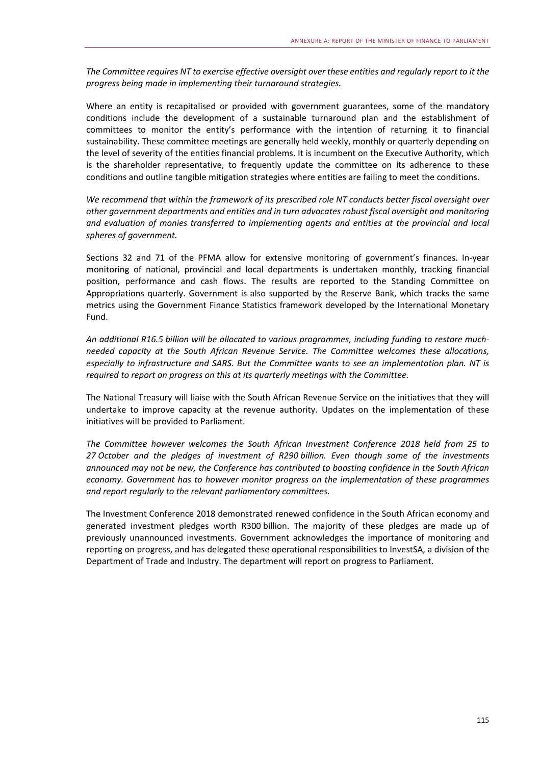*The Committee requires NT to exercise effective oversight over these entities and regularly report to it the progress being made in implementing their turnaround strategies.* 

Where an entity is recapitalised or provided with government guarantees, some of the mandatory conditions include the development of a sustainable turnaround plan and the establishment of committees to monitor the entity's performance with the intention of returning it to financial sustainability. These committee meetings are generally held weekly, monthly or quarterly depending on the level of severity of the entities financial problems. It is incumbent on the Executive Authority, which is the shareholder representative, to frequently update the committee on its adherence to these conditions and outline tangible mitigation strategies where entities are failing to meet the conditions.

*We recommend that within the framework of its prescribed role NT conducts better fiscal oversight over other government departments and entities and in turn advocates robust fiscal oversight and monitoring and evaluation of monies transferred to implementing agents and entities at the provincial and local spheres of government.* 

Sections 32 and 71 of the PFMA allow for extensive monitoring of government's finances. In-year monitoring of national, provincial and local departments is undertaken monthly, tracking financial position, performance and cash flows. The results are reported to the Standing Committee on Appropriations quarterly. Government is also supported by the Reserve Bank, which tracks the same metrics using the Government Finance Statistics framework developed by the International Monetary Fund.

*An additional R16.5 billion will be allocated to various programmes, including funding to restore muchneeded capacity at the South African Revenue Service. The Committee welcomes these allocations, especially to infrastructure and SARS. But the Committee wants to see an implementation plan. NT is required to report on progress on this at its quarterly meetings with the Committee.* 

The National Treasury will liaise with the South African Revenue Service on the initiatives that they will undertake to improve capacity at the revenue authority. Updates on the implementation of these initiatives will be provided to Parliament.

*The Committee however welcomes the South African Investment Conference 2018 held from 25 to 27 October and the pledges of investment of R290 billion. Even though some of the investments announced may not be new, the Conference has contributed to boosting confidence in the South African economy. Government has to however monitor progress on the implementation of these programmes and report regularly to the relevant parliamentary committees.* 

The Investment Conference 2018 demonstrated renewed confidence in the South African economy and generated investment pledges worth R300 billion. The majority of these pledges are made up of previously unannounced investments. Government acknowledges the importance of monitoring and reporting on progress, and has delegated these operational responsibilities to InvestSA, a division of the Department of Trade and Industry. The department will report on progress to Parliament.